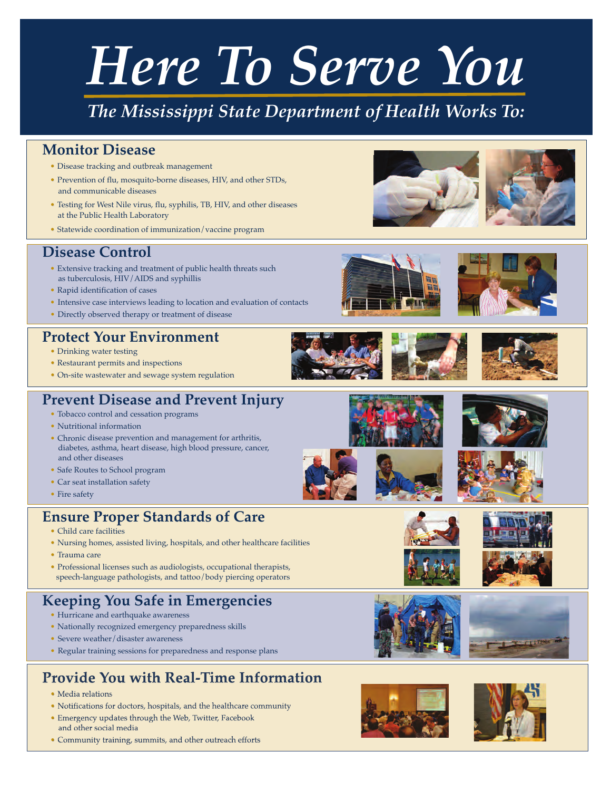# *Here To Serve You*

# *The Mississippi State Department of Health Works To:*

# **Monitor Disease**

- Disease tracking and outbreak management
- Prevention of flu, mosquito-borne diseases, HIV, and other STDs, and communicable diseases
- Testing for West Nile virus, flu, syphilis, TB, HIV, and other diseases at the Public Health Laboratory
- Statewide coordination of immunization/vaccine program

#### **Disease Control**

- Extensive tracking and treatment of public health threats such as tuberculosis, HIV/AIDS and syphillis
- Rapid identification of cases
- Intensive case interviews leading to location and evaluation of contacts
- Directly observed therapy or treatment of disease

#### **Protect Your Environment**

- Drinking water testing
- Restaurant permits and inspections
- On-site wastewater and sewage system regulation

### **Prevent Disease and Prevent Injury**

- Tobacco control and cessation programs
- Nutritional information
- Chronic disease prevention and management for arthritis, diabetes, asthma, heart disease, high blood pressure, cancer, and other diseases
- Safe Routes to School program
- Car seat installation safety
- Fire safety

## **Ensure Proper Standards of Care**

- Child care facilities
- Nursing homes, assisted living, hospitals, and other healthcare facilities
- Trauma care
- Professional licenses such as audiologists, occupational therapists, speech-language pathologists, and tattoo/body piercing operators

# **Keeping You Safe in Emergencies**

- Hurricane and earthquake awareness
- Nationally recognized emergency preparedness skills
- Severe weather/disaster awareness
- Regular training sessions for preparedness and response plans

# **Provide You with Real-Time Information**

- Media relations
- Notifications for doctors, hospitals, and the healthcare community
- Emergency updates through the Web, Twitter, Facebook and other social media
- Community training, summits, and other outreach efforts